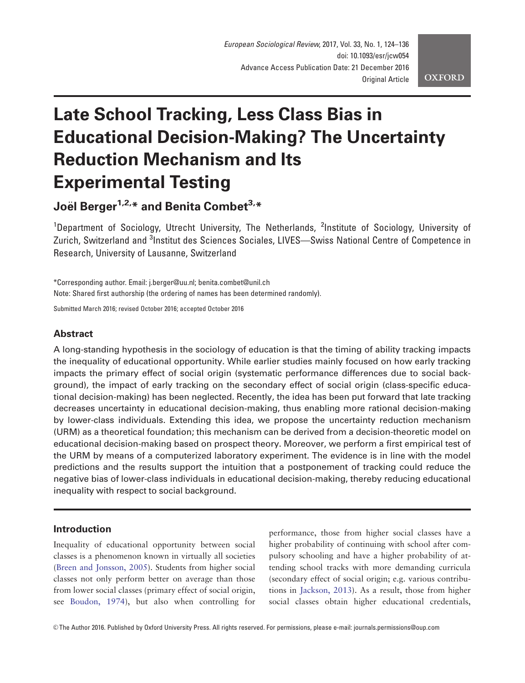# Late School Tracking, Less Class Bias in Educational Decision-Making? The Uncertainty Reduction Mechanism and Its Experimental Testing

Joël Berger<sup>1,2,\*</sup> and Benita Combet<sup>3,\*</sup>

<sup>1</sup>Department of Sociology, Utrecht University, The Netherlands, <sup>2</sup>Institute of Sociology, University of Zurich, Switzerland and <sup>3</sup>Institut des Sciences Sociales, LIVES—Swiss National Centre of Competence in Research, University of Lausanne, Switzerland

\*Corresponding author. Email: j.berger@uu.nl; benita.combet@unil.ch Note: Shared first authorship (the ordering of names has been determined randomly).

Submitted March 2016; revised October 2016; accepted October 2016

# **Abstract**

A long-standing hypothesis in the sociology of education is that the timing of ability tracking impacts the inequality of educational opportunity. While earlier studies mainly focused on how early tracking impacts the primary effect of social origin (systematic performance differences due to social background), the impact of early tracking on the secondary effect of social origin (class-specific educational decision-making) has been neglected. Recently, the idea has been put forward that late tracking decreases uncertainty in educational decision-making, thus enabling more rational decision-making by lower-class individuals. Extending this idea, we propose the uncertainty reduction mechanism (URM) as a theoretical foundation; this mechanism can be derived from a decision-theoretic model on educational decision-making based on prospect theory. Moreover, we perform a first empirical test of the URM by means of a computerized laboratory experiment. The evidence is in line with the model predictions and the results support the intuition that a postponement of tracking could reduce the negative bias of lower-class individuals in educational decision-making, thereby reducing educational inequality with respect to social background.

# Introduction

Inequality of educational opportunity between social classes is a phenomenon known in virtually all societies [\(Breen and Jonsson, 2005\)](#page-10-0). Students from higher social classes not only perform better on average than those from lower social classes (primary effect of social origin, see [Boudon, 1974\)](#page-10-0), but also when controlling for

performance, those from higher social classes have a higher probability of continuing with school after compulsory schooling and have a higher probability of attending school tracks with more demanding curricula (secondary effect of social origin; e.g. various contributions in [Jackson, 2013](#page-10-0)). As a result, those from higher social classes obtain higher educational credentials,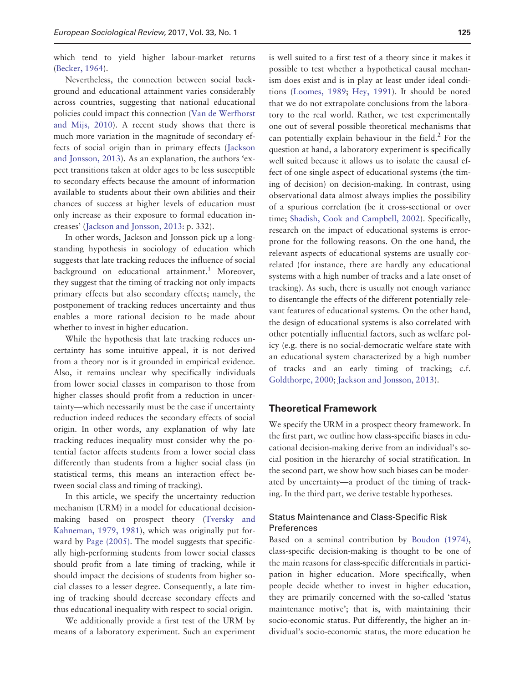which tend to yield higher labour-market returns [\(Becker, 1964](#page-10-0)).

Nevertheless, the connection between social background and educational attainment varies considerably across countries, suggesting that national educational policies could impact this connection [\(Van de Werfhorst](#page-11-0) [and Mijs, 2010\)](#page-11-0). A recent study shows that there is much more variation in the magnitude of secondary effects of social origin than in primary effects ([Jackson](#page-10-0) [and Jonsson, 2013](#page-10-0)). As an explanation, the authors 'expect transitions taken at older ages to be less susceptible to secondary effects because the amount of information available to students about their own abilities and their chances of success at higher levels of education must only increase as their exposure to formal education increases' [\(Jackson and Jonsson, 2013:](#page-10-0) p. 332).

In other words, Jackson and Jonsson pick up a longstanding hypothesis in sociology of education which suggests that late tracking reduces the influence of social background on educational attainment.<sup>1</sup> Moreover, they suggest that the timing of tracking not only impacts primary effects but also secondary effects; namely, the postponement of tracking reduces uncertainty and thus enables a more rational decision to be made about whether to invest in higher education.

While the hypothesis that late tracking reduces uncertainty has some intuitive appeal, it is not derived from a theory nor is it grounded in empirical evidence. Also, it remains unclear why specifically individuals from lower social classes in comparison to those from higher classes should profit from a reduction in uncertainty—which necessarily must be the case if uncertainty reduction indeed reduces the secondary effects of social origin. In other words, any explanation of why late tracking reduces inequality must consider why the potential factor affects students from a lower social class differently than students from a higher social class (in statistical terms, this means an interaction effect between social class and timing of tracking).

In this article, we specify the uncertainty reduction mechanism (URM) in a model for educational decisionmaking based on prospect theory ([Tversky and](#page-11-0) [Kahneman, 1979, 1981\)](#page-11-0), which was originally put forward by [Page \(2005\).](#page-11-0) The model suggests that specifically high-performing students from lower social classes should profit from a late timing of tracking, while it should impact the decisions of students from higher social classes to a lesser degree. Consequently, a late timing of tracking should decrease secondary effects and thus educational inequality with respect to social origin.

We additionally provide a first test of the URM by means of a laboratory experiment. Such an experiment is well suited to a first test of a theory since it makes it possible to test whether a hypothetical causal mechanism does exist and is in play at least under ideal conditions [\(Loomes, 1989](#page-10-0); [Hey, 1991](#page-10-0)). It should be noted that we do not extrapolate conclusions from the laboratory to the real world. Rather, we test experimentally one out of several possible theoretical mechanisms that can potentially explain behaviour in the field. $<sup>2</sup>$  For the</sup> question at hand, a laboratory experiment is specifically well suited because it allows us to isolate the causal effect of one single aspect of educational systems (the timing of decision) on decision-making. In contrast, using observational data almost always implies the possibility of a spurious correlation (be it cross-sectional or over time; [Shadish, Cook and Campbell, 2002\)](#page-11-0). Specifically, research on the impact of educational systems is errorprone for the following reasons. On the one hand, the relevant aspects of educational systems are usually correlated (for instance, there are hardly any educational systems with a high number of tracks and a late onset of tracking). As such, there is usually not enough variance to disentangle the effects of the different potentially relevant features of educational systems. On the other hand, the design of educational systems is also correlated with other potentially influential factors, such as welfare policy (e.g. there is no social-democratic welfare state with an educational system characterized by a high number of tracks and an early timing of tracking; c.f. [Goldthorpe, 2000](#page-10-0); [Jackson and Jonsson, 2013](#page-10-0)).

#### Theoretical Framework

We specify the URM in a prospect theory framework. In the first part, we outline how class-specific biases in educational decision-making derive from an individual's social position in the hierarchy of social stratification. In the second part, we show how such biases can be moderated by uncertainty—a product of the timing of tracking. In the third part, we derive testable hypotheses.

### Status Maintenance and Class-Specific Risk Preferences

Based on a seminal contribution by [Boudon \(1974\)](#page-10-0), class-specific decision-making is thought to be one of the main reasons for class-specific differentials in participation in higher education. More specifically, when people decide whether to invest in higher education, they are primarily concerned with the so-called 'status maintenance motive'; that is, with maintaining their socio-economic status. Put differently, the higher an individual's socio-economic status, the more education he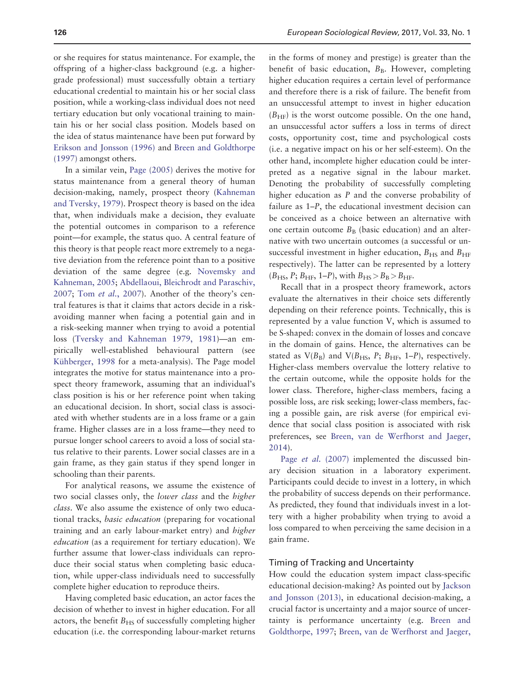or she requires for status maintenance. For example, the offspring of a higher-class background (e.g. a highergrade professional) must successfully obtain a tertiary educational credential to maintain his or her social class position, while a working-class individual does not need tertiary education but only vocational training to maintain his or her social class position. Models based on the idea of status maintenance have been put forward by [Erikson and Jonsson \(1996\)](#page-10-0) and [Breen and Goldthorpe](#page-10-0) [\(1997\)](#page-10-0) amongst others.

In a similar vein, [Page \(2005\)](#page-11-0) derives the motive for status maintenance from a general theory of human decision-making, namely, prospect theory [\(Kahneman](#page-10-0) [and Tversky, 1979](#page-10-0)). Prospect theory is based on the idea that, when individuals make a decision, they evaluate the potential outcomes in comparison to a reference point—for example, the status quo. A central feature of this theory is that people react more extremely to a negative deviation from the reference point than to a positive deviation of the same degree (e.g. [Novemsky and](#page-11-0) [Kahneman, 2005;](#page-11-0) [Abdellaoui, Bleichrodt and Paraschiv,](#page-10-0) [2007](#page-10-0); Tom et al.[, 2007](#page-11-0)). Another of the theory's central features is that it claims that actors decide in a riskavoiding manner when facing a potential gain and in a risk-seeking manner when trying to avoid a potential loss ([Tversky and Kahneman 1979, 1981](#page-11-0))—an empirically well-established behavioural pattern (see Kühberger, 1998 for a meta-analysis). The Page model integrates the motive for status maintenance into a prospect theory framework, assuming that an individual's class position is his or her reference point when taking an educational decision. In short, social class is associated with whether students are in a loss frame or a gain frame. Higher classes are in a loss frame—they need to pursue longer school careers to avoid a loss of social status relative to their parents. Lower social classes are in a gain frame, as they gain status if they spend longer in schooling than their parents.

For analytical reasons, we assume the existence of two social classes only, the lower class and the higher class. We also assume the existence of only two educational tracks, basic education (preparing for vocational training and an early labour-market entry) and higher education (as a requirement for tertiary education). We further assume that lower-class individuals can reproduce their social status when completing basic education, while upper-class individuals need to successfully complete higher education to reproduce theirs.

Having completed basic education, an actor faces the decision of whether to invest in higher education. For all actors, the benefit  $B<sub>HS</sub>$  of successfully completing higher education (i.e. the corresponding labour-market returns

in the forms of money and prestige) is greater than the benefit of basic education,  $B_B$ . However, completing higher education requires a certain level of performance and therefore there is a risk of failure. The benefit from an unsuccessful attempt to invest in higher education  $(B<sub>HF</sub>)$  is the worst outcome possible. On the one hand, an unsuccessful actor suffers a loss in terms of direct costs, opportunity cost, time and psychological costs (i.e. a negative impact on his or her self-esteem). On the other hand, incomplete higher education could be interpreted as a negative signal in the labour market. Denoting the probability of successfully completing higher education as P and the converse probability of failure as 1–P, the educational investment decision can be conceived as a choice between an alternative with one certain outcome  $B_B$  (basic education) and an alternative with two uncertain outcomes (a successful or unsuccessful investment in higher education,  $B_{\text{HS}}$  and  $B_{\text{HF}}$ respectively). The latter can be represented by a lottery  $(B_{\text{HS}}, P; B_{\text{HF}}, 1-P)$ , with  $B_{\text{HS}} > B_{\text{B}} > B_{\text{HF}}$ .

Recall that in a prospect theory framework, actors evaluate the alternatives in their choice sets differently depending on their reference points. Technically, this is represented by a value function V, which is assumed to be S-shaped: convex in the domain of losses and concave in the domain of gains. Hence, the alternatives can be stated as  $V(B_B)$  and  $V(B_{HS}, P; B_{HF}, 1-P)$ , respectively. Higher-class members overvalue the lottery relative to the certain outcome, while the opposite holds for the lower class. Therefore, higher-class members, facing a possible loss, are risk seeking; lower-class members, facing a possible gain, are risk averse (for empirical evidence that social class position is associated with risk preferences, see [Breen, van de Werfhorst and Jaeger,](#page-10-0) [2014](#page-10-0)).

Page *et al.* [\(2007\)](#page-11-0) implemented the discussed binary decision situation in a laboratory experiment. Participants could decide to invest in a lottery, in which the probability of success depends on their performance. As predicted, they found that individuals invest in a lottery with a higher probability when trying to avoid a loss compared to when perceiving the same decision in a gain frame.

#### Timing of Tracking and Uncertainty

How could the education system impact class-specific educational decision-making? As pointed out by [Jackson](#page-10-0) [and Jonsson \(2013\)](#page-10-0), in educational decision-making, a crucial factor is uncertainty and a major source of uncertainty is performance uncertainty (e.g. [Breen and](#page-10-0) [Goldthorpe, 1997;](#page-10-0) [Breen, van de Werfhorst and Jaeger,](#page-10-0)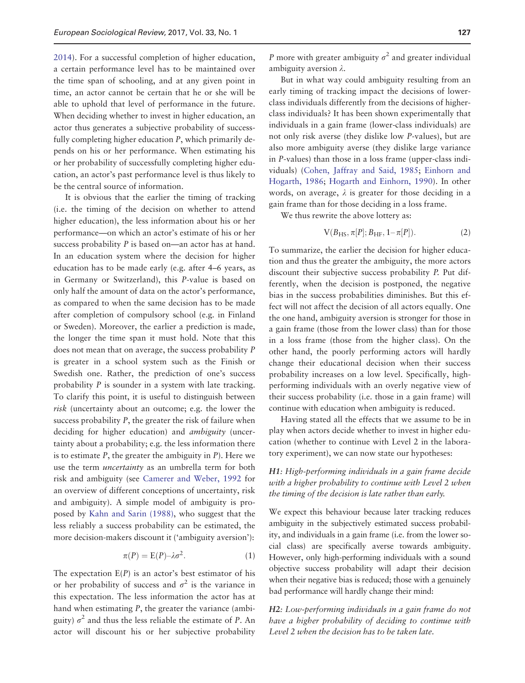[2014](#page-10-0)). For a successful completion of higher education, a certain performance level has to be maintained over the time span of schooling, and at any given point in time, an actor cannot be certain that he or she will be able to uphold that level of performance in the future. When deciding whether to invest in higher education, an actor thus generates a subjective probability of successfully completing higher education P, which primarily depends on his or her performance. When estimating his or her probability of successfully completing higher education, an actor's past performance level is thus likely to be the central source of information.

It is obvious that the earlier the timing of tracking (i.e. the timing of the decision on whether to attend higher education), the less information about his or her performance—on which an actor's estimate of his or her success probability P is based on—an actor has at hand. In an education system where the decision for higher education has to be made early (e.g. after 4–6 years, as in Germany or Switzerland), this P-value is based on only half the amount of data on the actor's performance, as compared to when the same decision has to be made after completion of compulsory school (e.g. in Finland or Sweden). Moreover, the earlier a prediction is made, the longer the time span it must hold. Note that this does not mean that on average, the success probability P is greater in a school system such as the Finish or Swedish one. Rather, the prediction of one's success probability P is sounder in a system with late tracking. To clarify this point, it is useful to distinguish between risk (uncertainty about an outcome; e.g. the lower the success probability P, the greater the risk of failure when deciding for higher education) and *ambiguity* (uncertainty about a probability; e.g. the less information there is to estimate  $P$ , the greater the ambiguity in  $P$ ). Here we use the term uncertainty as an umbrella term for both risk and ambiguity (see [Camerer and Weber, 1992](#page-10-0) for an overview of different conceptions of uncertainty, risk and ambiguity). A simple model of ambiguity is proposed by [Kahn and Sarin \(1988\)](#page-10-0), who suggest that the less reliably a success probability can be estimated, the more decision-makers discount it ('ambiguity aversion'):

$$
\pi(P) = \mathcal{E}(P) - \lambda \sigma^2. \tag{1}
$$

The expectation  $E(P)$  is an actor's best estimator of his or her probability of success and  $\sigma^2$  is the variance in this expectation. The less information the actor has at hand when estimating P, the greater the variance (ambiguity)  $\sigma^2$  and thus the less reliable the estimate of P. An actor will discount his or her subjective probability P more with greater ambiguity  $\sigma^2$  and greater individual ambiguity aversion  $\lambda$ .

But in what way could ambiguity resulting from an early timing of tracking impact the decisions of lowerclass individuals differently from the decisions of higherclass individuals? It has been shown experimentally that individuals in a gain frame (lower-class individuals) are not only risk averse (they dislike low P-values), but are also more ambiguity averse (they dislike large variance in P-values) than those in a loss frame (upper-class individuals) [\(Cohen, Jaffray and Said, 1985](#page-10-0); [Einhorn and](#page-10-0) [Hogarth, 1986](#page-10-0); [Hogarth and Einhorn, 1990\)](#page-10-0). In other words, on average,  $\lambda$  is greater for those deciding in a gain frame than for those deciding in a loss frame.

We thus rewrite the above lottery as:

$$
V(B_{HS}, \pi[P]; B_{HF}, 1-\pi[P]).
$$
 (2)

To summarize, the earlier the decision for higher education and thus the greater the ambiguity, the more actors discount their subjective success probability P. Put differently, when the decision is postponed, the negative bias in the success probabilities diminishes. But this effect will not affect the decision of all actors equally. One the one hand, ambiguity aversion is stronger for those in a gain frame (those from the lower class) than for those in a loss frame (those from the higher class). On the other hand, the poorly performing actors will hardly change their educational decision when their success probability increases on a low level. Specifically, highperforming individuals with an overly negative view of their success probability (i.e. those in a gain frame) will continue with education when ambiguity is reduced.

Having stated all the effects that we assume to be in play when actors decide whether to invest in higher education (whether to continue with Level 2 in the laboratory experiment), we can now state our hypotheses:

#### H1: High-performing individuals in a gain frame decide with a higher probability to continue with Level 2 when the timing of the decision is late rather than early.

We expect this behaviour because later tracking reduces ambiguity in the subjectively estimated success probability, and individuals in a gain frame (i.e. from the lower social class) are specifically averse towards ambiguity. However, only high-performing individuals with a sound objective success probability will adapt their decision when their negative bias is reduced; those with a genuinely bad performance will hardly change their mind:

H2: Low-performing individuals in a gain frame do not have a higher probability of deciding to continue with Level 2 when the decision has to be taken late.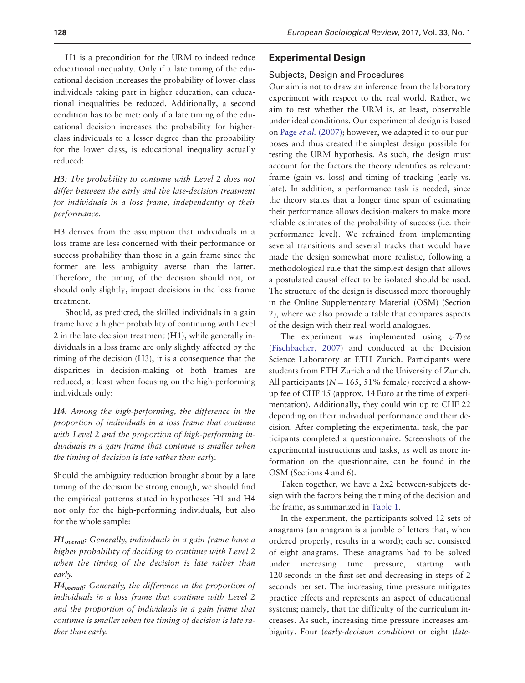H1 is a precondition for the URM to indeed reduce educational inequality. Only if a late timing of the educational decision increases the probability of lower-class individuals taking part in higher education, can educational inequalities be reduced. Additionally, a second condition has to be met: only if a late timing of the educational decision increases the probability for higherclass individuals to a lesser degree than the probability for the lower class, is educational inequality actually reduced:

H3: The probability to continue with Level 2 does not differ between the early and the late-decision treatment for individuals in a loss frame, independently of their performance.

H3 derives from the assumption that individuals in a loss frame are less concerned with their performance or success probability than those in a gain frame since the former are less ambiguity averse than the latter. Therefore, the timing of the decision should not, or should only slightly, impact decisions in the loss frame treatment.

Should, as predicted, the skilled individuals in a gain frame have a higher probability of continuing with Level 2 in the late-decision treatment (H1), while generally individuals in a loss frame are only slightly affected by the timing of the decision (H3), it is a consequence that the disparities in decision-making of both frames are reduced, at least when focusing on the high-performing individuals only:

H4: Among the high-performing, the difference in the proportion of individuals in a loss frame that continue with Level 2 and the proportion of high-performing individuals in a gain frame that continue is smaller when the timing of decision is late rather than early.

Should the ambiguity reduction brought about by a late timing of the decision be strong enough, we should find the empirical patterns stated in hypotheses H1 and H4 not only for the high-performing individuals, but also for the whole sample:

 $H1_{overall}$ : Generally, individuals in a gain frame have a higher probability of deciding to continue with Level 2 when the timing of the decision is late rather than early.

H4overall: Generally, the difference in the proportion of individuals in a loss frame that continue with Level 2 and the proportion of individuals in a gain frame that continue is smaller when the timing of decision is late rather than early.

#### Experimental Design

#### Subjects, Design and Procedures

Our aim is not to draw an inference from the laboratory experiment with respect to the real world. Rather, we aim to test whether the URM is, at least, observable under ideal conditions. Our experimental design is based on Page et al. [\(2007\);](#page-11-0) however, we adapted it to our purposes and thus created the simplest design possible for testing the URM hypothesis. As such, the design must account for the factors the theory identifies as relevant: frame (gain vs. loss) and timing of tracking (early vs. late). In addition, a performance task is needed, since the theory states that a longer time span of estimating their performance allows decision-makers to make more reliable estimates of the probability of success (i.e. their performance level). We refrained from implementing several transitions and several tracks that would have made the design somewhat more realistic, following a methodological rule that the simplest design that allows a postulated causal effect to be isolated should be used. The structure of the design is discussed more thoroughly in the Online Supplementary Material (OSM) (Section 2), where we also provide a table that compares aspects of the design with their real-world analogues.

The experiment was implemented using  $z$ -Tree [\(Fischbacher, 2007\)](#page-10-0) and conducted at the Decision Science Laboratory at ETH Zurich. Participants were students from ETH Zurich and the University of Zurich. All participants ( $N = 165$ , 51% female) received a showup fee of CHF 15 (approx. 14 Euro at the time of experimentation). Additionally, they could win up to CHF 22 depending on their individual performance and their decision. After completing the experimental task, the participants completed a questionnaire. Screenshots of the experimental instructions and tasks, as well as more information on the questionnaire, can be found in the OSM (Sections 4 and 6).

Taken together, we have a 2x2 between-subjects design with the factors being the timing of the decision and the frame, as summarized in [Table 1.](#page-5-0)

In the experiment, the participants solved 12 sets of anagrams (an anagram is a jumble of letters that, when ordered properly, results in a word); each set consisted of eight anagrams. These anagrams had to be solved under increasing time pressure, starting with 120 seconds in the first set and decreasing in steps of 2 seconds per set. The increasing time pressure mitigates practice effects and represents an aspect of educational systems; namely, that the difficulty of the curriculum increases. As such, increasing time pressure increases ambiguity. Four (early-decision condition) or eight (late-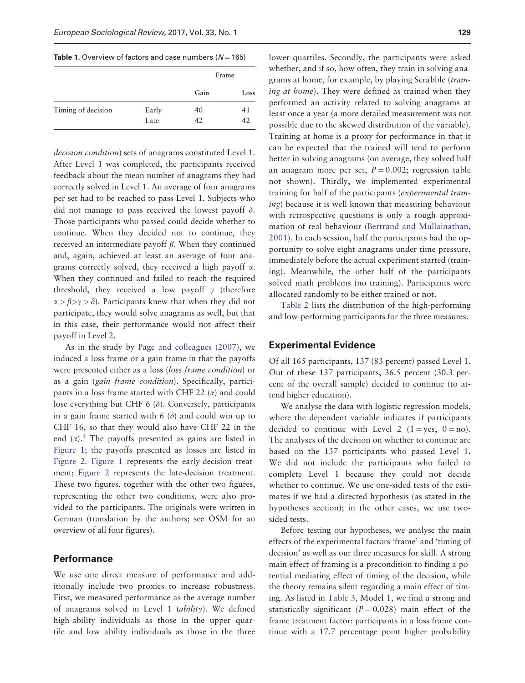<span id="page-5-0"></span>Table 1. Overview of factors and case numbers ( $N = 165$ )

|                    |       | Frame |      |  |
|--------------------|-------|-------|------|--|
|                    |       | Gain  | Loss |  |
| Timing of decision | Early | 40    | 41   |  |
|                    | Late  | 42    | 42   |  |

decision condition) sets of anagrams constituted Level 1. After Level 1 was completed, the participants received feedback about the mean number of anagrams they had correctly solved in Level 1. An average of four anagrams per set had to be reached to pass Level 1. Subjects who did not manage to pass received the lowest payoff  $\delta$ . Those participants who passed could decide whether to continue. When they decided not to continue, they received an intermediate payoff  $\beta$ . When they continued and, again, achieved at least an average of four anagrams correctly solved, they received a high payoff  $\alpha$ . When they continued and failed to reach the required threshold, they received a low payoff  $\gamma$  (therefore  $\alpha > \beta > \gamma > \delta$ ). Participants knew that when they did not participate, they would solve anagrams as well, but that in this case, their performance would not affect their payoff in Level 2.

As in the study by [Page and colleagues \(2007\)](#page-11-0), we induced a loss frame or a gain frame in that the payoffs were presented either as a loss (loss frame condition) or as a gain (gain frame condition). Specifically, participants in a loss frame started with CHF 22  $(\alpha)$  and could lose everything but CHF 6  $(\delta)$ . Conversely, participants in a gain frame started with  $6 (\delta)$  and could win up to CHF 16, so that they would also have CHF 22 in the end  $(\alpha)$ .<sup>3</sup> The payoffs presented as gains are listed in [Figure 1;](#page-6-0) the payoffs presented as losses are listed in [Figure 2.](#page-6-0) [Figure 1](#page-6-0) represents the early-decision treatment; [Figure 2](#page-6-0) represents the late-decision treatment. These two figures, together with the other two figures, representing the other two conditions, were also provided to the participants. The originals were written in German (translation by the authors; see OSM for an overview of all four figures).

#### **Performance**

We use one direct measure of performance and additionally include two proxies to increase robustness. First, we measured performance as the average number of anagrams solved in Level 1 (ability). We defined high-ability individuals as those in the upper quartile and low ability individuals as those in the three

lower quartiles. Secondly, the participants were asked whether, and if so, how often, they train in solving anagrams at home, for example, by playing Scrabble (training at home). They were defined as trained when they performed an activity related to solving anagrams at least once a year (a more detailed measurement was not possible due to the skewed distribution of the variable). Training at home is a proxy for performance in that it can be expected that the trained will tend to perform better in solving anagrams (on average, they solved half an anagram more per set,  $P = 0.002$ ; regression table not shown). Thirdly, we implemented experimental training for half of the participants (experimental train*ing*) because it is well known that measuring behaviour with retrospective questions is only a rough approximation of real behaviour ([Bertrand and Mullainathan,](#page-10-0) [2001\)](#page-10-0). In each session, half the participants had the opportunity to solve eight anagrams under time pressure, immediately before the actual experiment started (training). Meanwhile, the other half of the participants solved math problems (no training). Participants were allocated randomly to be either trained or not.

[Table 2](#page-6-0) lists the distribution of the high-performing and low-performing participants for the three measures.

#### Experimental Evidence

Of all 165 participants, 137 (83 percent) passed Level 1. Out of these 137 participants, 36.5 percent (30.3 percent of the overall sample) decided to continue (to attend higher education).

We analyse the data with logistic regression models, where the dependent variable indicates if participants decided to continue with Level 2 (1 = yes, 0 = no). The analyses of the decision on whether to continue are based on the 137 participants who passed Level 1. We did not include the participants who failed to complete Level 1 because they could not decide whether to continue. We use one-sided tests of the estimates if we had a directed hypothesis (as stated in the hypotheses section); in the other cases, we use twosided tests.

Before testing our hypotheses, we analyse the main effects of the experimental factors 'frame' and 'timing of decision' as well as our three measures for skill. A strong main effect of framing is a precondition to finding a potential mediating effect of timing of the decision, while the theory remains silent regarding a main effect of timing. As listed in [Table 3,](#page-7-0) Model 1, we find a strong and statistically significant ( $P = 0.028$ ) main effect of the frame treatment factor: participants in a loss frame continue with a 17.7 percentage point higher probability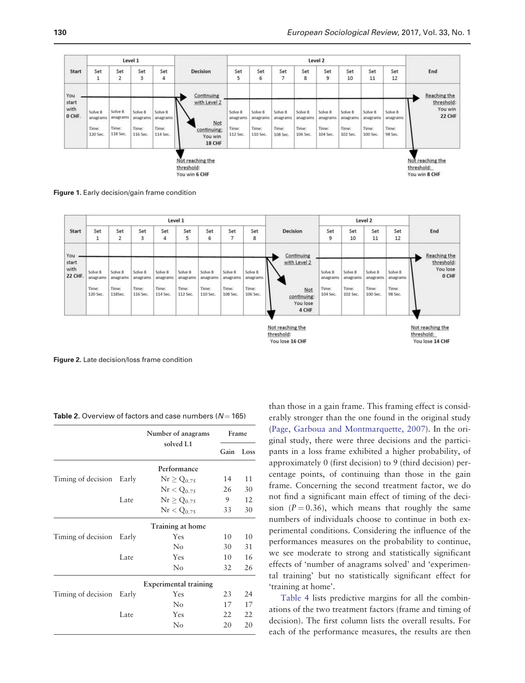<span id="page-6-0"></span>

Figure 1. Early decision/gain frame condition



Figure 2. Late decision/loss frame condition

Table 2. Overview of factors and case numbers ( $N = 165$ )

|                    |       | Number of anagrams           | Frame |      |
|--------------------|-------|------------------------------|-------|------|
|                    |       | solved L1                    | Gain  | Loss |
|                    |       | Performance                  |       |      |
| Timing of decision | Early | $Nr \geq Q_{0.75}$           | 14    | 11   |
|                    |       | $\rm{Nr} < Q_{0.75}$         | 26    | 30   |
|                    | Late  | $Nr \ge Q_{0.75}$            | 9     | 12   |
|                    |       | $Nr < Q_{0.75}$              | 33    | 30   |
|                    |       | Training at home             |       |      |
| Timing of decision | Early | Yes                          | 10    | 10   |
|                    |       | No                           | 30    | 31   |
|                    | Late  | Yes                          | 10    | 16   |
|                    |       | No                           | 32    | 26   |
|                    |       | <b>Experimental training</b> |       |      |
| Timing of decision | Early | Yes                          | 23    | 24   |
|                    |       | No                           | 17    | 17   |
|                    | Late  | Yes                          | 22    | 22   |
|                    |       | $\rm No$                     | 20    | 20   |

than those in a gain frame. This framing effect is considerably stronger than the one found in the original study [\(Page, Garboua and Montmarquette, 2007](#page-11-0)). In the original study, there were three decisions and the participants in a loss frame exhibited a higher probability, of approximately 0 (first decision) to 9 (third decision) percentage points, of continuing than those in the gain frame. Concerning the second treatment factor, we do not find a significant main effect of timing of the decision  $(P = 0.36)$ , which means that roughly the same numbers of individuals choose to continue in both experimental conditions. Considering the influence of the performances measures on the probability to continue, we see moderate to strong and statistically significant effects of 'number of anagrams solved' and 'experimental training' but no statistically significant effect for 'training at home'.

[Table 4](#page-7-0) lists predictive margins for all the combinations of the two treatment factors (frame and timing of decision). The first column lists the overall results. For each of the performance measures, the results are then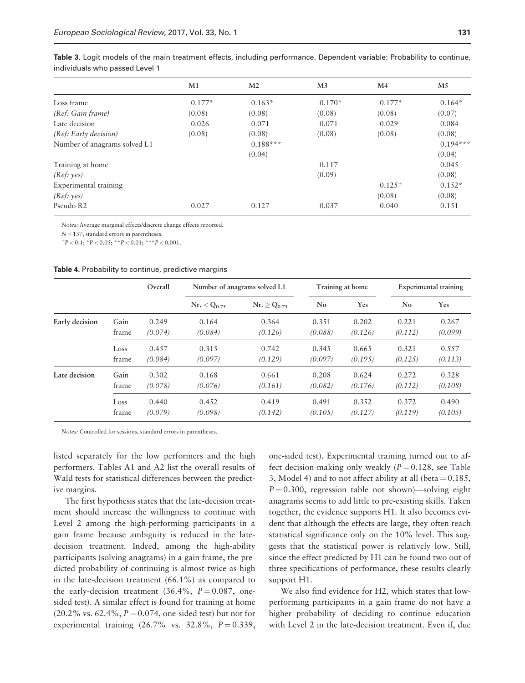<span id="page-7-0"></span>Table 3. Logit models of the main treatment effects, including performance. Dependent variable: Probability to continue, individuals who passed Level 1

|                              | M1       | M <sub>2</sub> | M <sub>3</sub> | M <sub>4</sub> | M5         |
|------------------------------|----------|----------------|----------------|----------------|------------|
| Loss frame                   | $0.177*$ | $0.163*$       | $0.170*$       | $0.177*$       | $0.164*$   |
| (Ref: Gain frame)            | (0.08)   | (0.08)         | (0.08)         | (0.08)         | (0.07)     |
| Late decision                | 0.026    | 0.071          | 0.071          | 0.029          | 0.084      |
| (Ref: Early decision)        | (0.08)   | (0.08)         | (0.08)         | (0.08)         | (0.08)     |
| Number of anagrams solved L1 |          | $0.188***$     |                |                | $0.194***$ |
|                              |          | (0.04)         |                |                | (0.04)     |
| Training at home             |          |                | 0.117          |                | 0.045      |
| (Ref: yes)                   |          |                | (0.09)         |                | (0.08)     |
| Experimental training        |          |                |                | $0.125^{+}$    | $0.152*$   |
| (Ref: yes)                   |          |                |                | (0.08)         | (0.08)     |
| Pseudo R2                    | 0.027    | 0.127          | 0.037          | 0.040          | 0.151      |

Notes: Average marginal effects/discrete change effects reported.

 $N = 137$ , standard errors in parentheses.

 $p^+P < 0.1$ ; \*  $P < 0.05$ ; \* \*  $P < 0.01$ ; \* \* \*  $P < 0.001$ .

#### Table 4. Probability to continue, predictive margins

|                |       | Overall |                  | Number of anagrams solved L1 | Training at home |         | <b>Experimental training</b> |         |
|----------------|-------|---------|------------------|------------------------------|------------------|---------|------------------------------|---------|
|                |       |         | $Nr. < Q_{0.75}$ | $Nr. \ge Q_{0.75}$           | No               | Yes     | No.                          | Yes     |
| Early decision | Gain  | 0.249   | 0.164            | 0.364                        | 0.351            | 0.202   | 0.221                        | 0.267   |
|                | frame | (0.074) | (0.084)          | (0.126)                      | (0.088)          | (0.126) | (0.112)                      | (0.099) |
|                | Loss  | 0.457   | 0.315            | 0.742                        | 0.345            | 0.665   | 0.321                        | 0.557   |
|                | frame | (0.084) | (0.097)          | (0.129)                      | (0.097)          | (0.195) | (0.125)                      | (0.113) |
| Late decision  | Gain  | 0.302   | 0.168            | 0.661                        | 0.208            | 0.624   | 0.272                        | 0.328   |
|                | frame | (0.078) | (0.076)          | (0.161)                      | (0.082)          | (0.176) | (0.112)                      | (0.108) |
|                | Loss  | 0.440   | 0.452            | 0.419                        | 0.491            | 0.352   | 0.372                        | 0.490   |
|                | frame | (0.079) | (0.098)          | (0.142)                      | (0.105)          | (0.127) | (0.119)                      | (0.105) |

Notes: Controlled for sessions, standard errors in parentheses.

listed separately for the low performers and the high performers. Tables A1 and A2 list the overall results of Wald tests for statistical differences between the predictive margins.

The first hypothesis states that the late-decision treatment should increase the willingness to continue with Level 2 among the high-performing participants in a gain frame because ambiguity is reduced in the latedecision treatment. Indeed, among the high-ability participants (solving anagrams) in a gain frame, the predicted probability of continuing is almost twice as high in the late-decision treatment (66.1%) as compared to the early-decision treatment (36.4%,  $P = 0.087$ , onesided test). A similar effect is found for training at home  $(20.2\% \text{ vs. } 62.4\%, P = 0.074, \text{ one-sided test})$  but not for experimental training  $(26.7\% \text{ vs. } 32.8\%, P = 0.339,$ 

one-sided test). Experimental training turned out to affect decision-making only weakly  $(P = 0.128$ , see Table 3, Model 4) and to not affect ability at all (beta  $= 0.185$ ,  $P = 0.300$ , regression table not shown)—solving eight anagrams seems to add little to pre-existing skills. Taken together, the evidence supports H1. It also becomes evident that although the effects are large, they often reach statistical significance only on the 10% level. This suggests that the statistical power is relatively low. Still, since the effect predicted by H1 can be found two out of three specifications of performance, these results clearly support H1.

We also find evidence for H2, which states that lowperforming participants in a gain frame do not have a higher probability of deciding to continue education with Level 2 in the late-decision treatment. Even if, due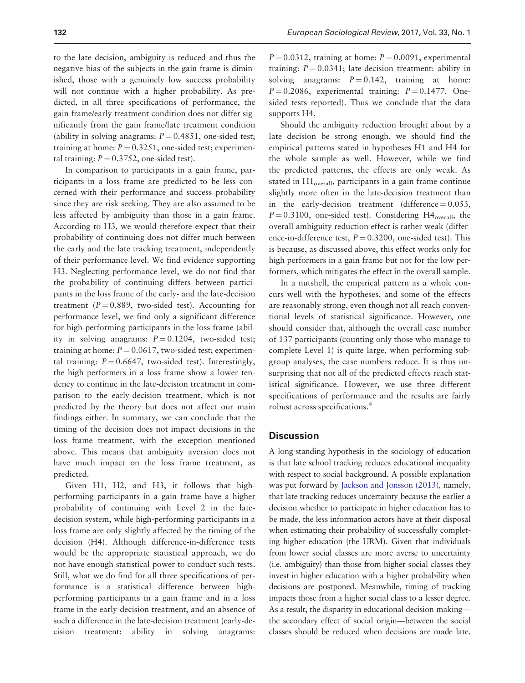to the late decision, ambiguity is reduced and thus the negative bias of the subjects in the gain frame is diminished, those with a genuinely low success probability will not continue with a higher probability. As predicted, in all three specifications of performance, the gain frame/early treatment condition does not differ significantly from the gain frame/late treatment condition (ability in solving anagrams:  $P = 0.4851$ , one-sided test; training at home:  $P = 0.3251$ , one-sided test; experimental training:  $P = 0.3752$ , one-sided test).

In comparison to participants in a gain frame, participants in a loss frame are predicted to be less concerned with their performance and success probability since they are risk seeking. They are also assumed to be less affected by ambiguity than those in a gain frame. According to H3, we would therefore expect that their probability of continuing does not differ much between the early and the late tracking treatment, independently of their performance level. We find evidence supporting H3. Neglecting performance level, we do not find that the probability of continuing differs between participants in the loss frame of the early- and the late-decision treatment ( $P = 0.889$ , two-sided test). Accounting for performance level, we find only a significant difference for high-performing participants in the loss frame (ability in solving anagrams:  $P = 0.1204$ , two-sided test; training at home:  $P = 0.0617$ , two-sided test; experimental training:  $P = 0.6647$ , two-sided test). Interestingly, the high performers in a loss frame show a lower tendency to continue in the late-decision treatment in comparison to the early-decision treatment, which is not predicted by the theory but does not affect our main findings either. In summary, we can conclude that the timing of the decision does not impact decisions in the loss frame treatment, with the exception mentioned above. This means that ambiguity aversion does not have much impact on the loss frame treatment, as predicted.

Given H1, H2, and H3, it follows that highperforming participants in a gain frame have a higher probability of continuing with Level 2 in the latedecision system, while high-performing participants in a loss frame are only slightly affected by the timing of the decision (H4). Although difference-in-difference tests would be the appropriate statistical approach, we do not have enough statistical power to conduct such tests. Still, what we do find for all three specifications of performance is a statistical difference between highperforming participants in a gain frame and in a loss frame in the early-decision treatment, and an absence of such a difference in the late-decision treatment (early-decision treatment: ability in solving anagrams:

 $P = 0.0312$ , training at home:  $P = 0.0091$ , experimental training:  $P = 0.0341$ ; late-decision treatment: ability in solving anagrams:  $P = 0.142$ , training at home:  $P = 0.2086$ , experimental training:  $P = 0.1477$ . Onesided tests reported). Thus we conclude that the data supports H4.

Should the ambiguity reduction brought about by a late decision be strong enough, we should find the empirical patterns stated in hypotheses H1 and H4 for the whole sample as well. However, while we find the predicted patterns, the effects are only weak. As stated in  $H1_{overall}$ , participants in a gain frame continue slightly more often in the late-decision treatment than in the early-decision treatment (difference  $= 0.053$ ,  $P = 0.3100$ , one-sided test). Considering H4<sub>overall</sub>, the overall ambiguity reduction effect is rather weak (difference-in-difference test,  $P = 0.3200$ , one-sided test). This is because, as discussed above, this effect works only for high performers in a gain frame but not for the low performers, which mitigates the effect in the overall sample.

In a nutshell, the empirical pattern as a whole concurs well with the hypotheses, and some of the effects are reasonably strong, even though not all reach conventional levels of statistical significance. However, one should consider that, although the overall case number of 137 participants (counting only those who manage to complete Level 1) is quite large, when performing subgroup analyses, the case numbers reduce. It is thus unsurprising that not all of the predicted effects reach statistical significance. However, we use three different specifications of performance and the results are fairly robust across specifications.<sup>4</sup>

#### **Discussion**

A long-standing hypothesis in the sociology of education is that late school tracking reduces educational inequality with respect to social background. A possible explanation was put forward by [Jackson and Jonsson \(2013\),](#page-10-0) namely, that late tracking reduces uncertainty because the earlier a decision whether to participate in higher education has to be made, the less information actors have at their disposal when estimating their probability of successfully completing higher education (the URM). Given that individuals from lower social classes are more averse to uncertainty (i.e. ambiguity) than those from higher social classes they invest in higher education with a higher probability when decisions are postponed. Meanwhile, timing of tracking impacts those from a higher social class to a lesser degree. As a result, the disparity in educational decision-making the secondary effect of social origin—between the social classes should be reduced when decisions are made late.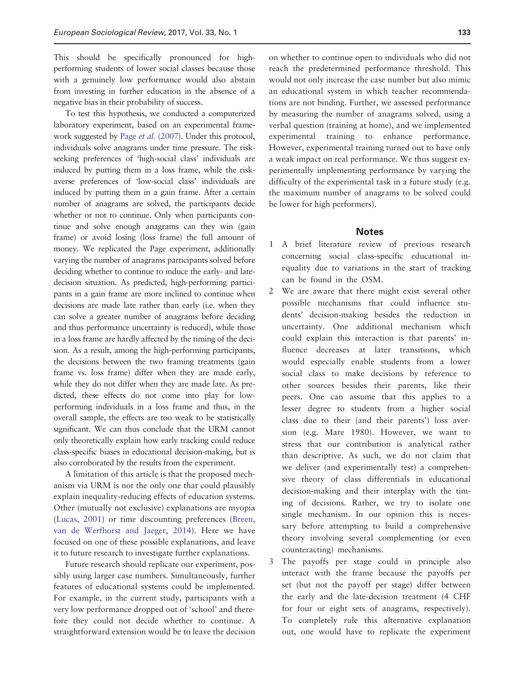This should be specifically pronounced for highperforming students of lower social classes because those with a genuinely low performance would also abstain from investing in further education in the absence of a negative bias in their probability of success.

To test this hypothesis, we conducted a computerized laboratory experiment, based on an experimental framework suggested by Page *et al.* [\(2007\).](#page-11-0) Under this protocol, individuals solve anagrams under time pressure. The riskseeking preferences of 'high-social class' individuals are induced by putting them in a loss frame, while the riskaverse preferences of 'low-social class' individuals are induced by putting them in a gain frame. After a certain number of anagrams are solved, the participants decide whether or not to continue. Only when participants continue and solve enough anagrams can they win (gain frame) or avoid losing (loss frame) the full amount of money. We replicated the Page experiment, additionally varying the number of anagrams participants solved before deciding whether to continue to induce the early- and latedecision situation. As predicted, high-performing participants in a gain frame are more inclined to continue when decisions are made late rather than early (i.e. when they can solve a greater number of anagrams before deciding and thus performance uncertainty is reduced), while those in a loss frame are hardly affected by the timing of the decision. As a result, among the high-performing participants, the decisions between the two framing treatments (gain frame vs. loss frame) differ when they are made early, while they do not differ when they are made late. As predicted, these effects do not come into play for lowperforming individuals in a loss frame and thus, in the overall sample, the effects are too weak to be statistically significant. We can thus conclude that the URM cannot only theoretically explain how early tracking could reduce class-specific biases in educational decision-making, but is also corroborated by the results from the experiment.

A limitation of this article is that the proposed mechanism via URM is not the only one that could plausibly explain inequality-reducing effects of education systems. Other (mutually not exclusive) explanations are myopia [\(Lucas, 2001\)](#page-10-0) or time discounting preferences [\(Breen,](#page-10-0) [van de Werfhorst and Jaeger, 2014](#page-10-0)). Here we have focused on one of these possible explanations, and leave it to future research to investigate further explanations.

Future research should replicate our experiment, possibly using larger case numbers. Simultaneously, further features of educational systems could be implemented. For example, in the current study, participants with a very low performance dropped out of 'school' and therefore they could not decide whether to continue. A straightforward extension would be to leave the decision

on whether to continue open to individuals who did not reach the predetermined performance threshold. This would not only increase the case number but also mimic an educational system in which teacher recommendations are not binding. Further, we assessed performance by measuring the number of anagrams solved, using a verbal question (training at home), and we implemented experimental training to enhance performance. However, experimental training turned out to have only a weak impact on real performance. We thus suggest experimentally implementing performance by varying the difficulty of the experimental task in a future study (e.g. the maximum number of anagrams to be solved could be lower for high performers).

#### **Notes**

- 1 A brief literature review of previous research concerning social class-specific educational inequality due to variations in the start of tracking can be found in the OSM.
- 2 We are aware that there might exist several other possible mechanisms that could influence students' decision-making besides the reduction in uncertainty. One additional mechanism which could explain this interaction is that parents' influence decreases at later transitions, which would especially enable students from a lower social class to make decisions by reference to other sources besides their parents, like their peers. One can assume that this applies to a lesser degree to students from a higher social class due to their (and their parents') loss aversion (e.g. Mare 1980). However, we want to stress that our contribution is analytical rather than descriptive. As such, we do not claim that we deliver (and experimentally test) a comprehensive theory of class differentials in educational decision-making and their interplay with the timing of decisions. Rather, we try to isolate one single mechanism. In our opinion this is necessary before attempting to build a comprehensive theory involving several complementing (or even counteracting) mechanisms.
- 3 The payoffs per stage could in principle also interact with the frame because the payoffs per set (but not the payoff per stage) differ between the early and the late-decision treatment (4 CHF for four or eight sets of anagrams, respectively). To completely rule this alternative explanation out, one would have to replicate the experiment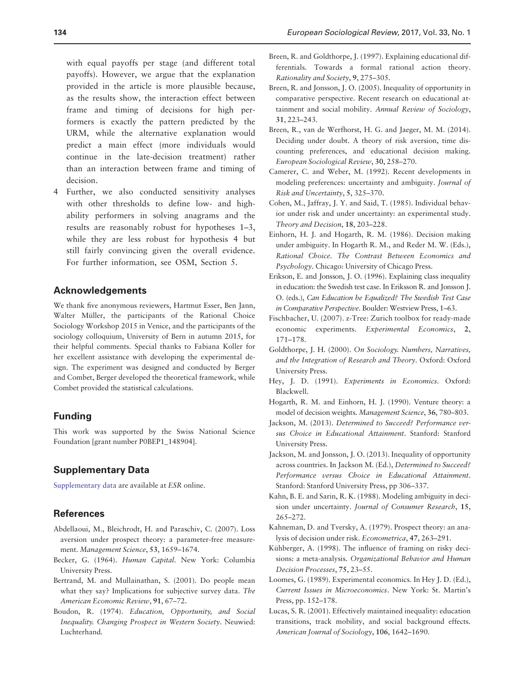<span id="page-10-0"></span>with equal payoffs per stage (and different total payoffs). However, we argue that the explanation provided in the article is more plausible because, as the results show, the interaction effect between frame and timing of decisions for high performers is exactly the pattern predicted by the URM, while the alternative explanation would predict a main effect (more individuals would continue in the late-decision treatment) rather than an interaction between frame and timing of decision.

4 Further, we also conducted sensitivity analyses with other thresholds to define low- and highability performers in solving anagrams and the results are reasonably robust for hypotheses 1–3, while they are less robust for hypothesis 4 but still fairly convincing given the overall evidence. For further information, see OSM, Section 5.

#### Acknowledgements

We thank five anonymous reviewers, Hartmut Esser, Ben Jann, Walter Müller, the participants of the Rational Choice Sociology Workshop 2015 in Venice, and the participants of the sociology colloquium, University of Bern in autumn 2015, for their helpful comments. Special thanks to Fabiana Koller for her excellent assistance with developing the experimental design. The experiment was designed and conducted by Berger and Combet, Berger developed the theoretical framework, while Combet provided the statistical calculations.

# Funding

This work was supported by the Swiss National Science Foundation [grant number P0BEP1\_148904].

# Supplementary Data

[Supplementary data](http://esr.oxfordjournals.org/lookup/suppl/doi:10.1093/esr/jcw054/-/DC1) are available at ESR online.

# **References**

- Abdellaoui, M., Bleichrodt, H. and Paraschiv, C. (2007). Loss aversion under prospect theory: a parameter-free measurement. Management Science, 53, 1659–1674.
- Becker, G. (1964). Human Capital. New York: Columbia University Press.
- Bertrand, M. and Mullainathan, S. (2001). Do people mean what they say? Implications for subjective survey data. The American Economic Review, 91, 67–72.
- Boudon, R. (1974). Education, Opportunity, and Social Inequality. Changing Prospect in Western Society. Neuwied: Luchterhand.
- Breen, R. and Goldthorpe, J. (1997). Explaining educational differentials. Towards a formal rational action theory. Rationality and Society, 9, 275–305.
- Breen, R. and Jonsson, J. O. (2005). Inequality of opportunity in comparative perspective. Recent research on educational attainment and social mobility. Annual Review of Sociology, 31, 223–243.
- Breen, R., van de Werfhorst, H. G. and Jaeger, M. M. (2014). Deciding under doubt. A theory of risk aversion, time discounting preferences, and educational decision making. European Sociological Review, 30, 258–270.
- Camerer, C. and Weber, M. (1992). Recent developments in modeling preferences: uncertainty and ambiguity. Journal of Risk and Uncertainty, 5, 325–370.
- Cohen, M., Jaffray, J. Y. and Said, T. (1985). Individual behavior under risk and under uncertainty: an experimental study. Theory and Decision, 18, 203–228.
- Einhorn, H. J. and Hogarth, R. M. (1986). Decision making under ambiguity. In Hogarth R. M., and Reder M. W. (Eds.), Rational Choice. The Contrast Between Economics and Psychology. Chicago: University of Chicago Press.
- Erikson, E. and Jonsson, J. O. (1996). Explaining class inequality in education: the Swedish test case. In Eriksson R. and Jonsson J. O. (eds.), Can Education be Equalized? The Swedish Test Case in Comparative Perspective. Boulder: Westview Press, 1–63.
- Fischbacher, U. (2007). z-Tree: Zurich toolbox for ready-made economic experiments. Experimental Economics, 2, 171–178.
- Goldthorpe, J. H. (2000). On Sociology. Numbers, Narratives, and the Integration of Research and Theory. Oxford: Oxford University Press.
- Hey, J. D. (1991). Experiments in Economics. Oxford: Blackwell.
- Hogarth, R. M. and Einhorn, H. J. (1990). Venture theory: a model of decision weights. Management Science, 36, 780–803.
- Jackson, M. (2013). Determined to Succeed? Performance versus Choice in Educational Attainment. Stanford: Stanford University Press.
- Jackson, M. and Jonsson, J. O. (2013). Inequality of opportunity across countries. In Jackson M. (Ed.), Determined to Succeed? Performance versus Choice in Educational Attainment. Stanford: Stanford University Press, pp 306–337.
- Kahn, B. E. and Sarin, R. K. (1988). Modeling ambiguity in decision under uncertainty. Journal of Consumer Research, 15, 265–272.
- Kahneman, D. and Tversky, A. (1979). Prospect theory: an analysis of decision under risk. Econometrica, 47, 263–291.
- Kühberger, A. (1998). The influence of framing on risky decisions: a meta-analysis. Organizational Behavior and Human Decision Processes, 75, 23–55.
- Loomes, G. (1989). Experimental economics. In Hey J. D. (Ed.), Current Issues in Microeconomics. New York: St. Martin's Press, pp. 152–178.
- Lucas, S. R. (2001). Effectively maintained inequality: education transitions, track mobility, and social background effects. American Journal of Sociology, 106, 1642–1690.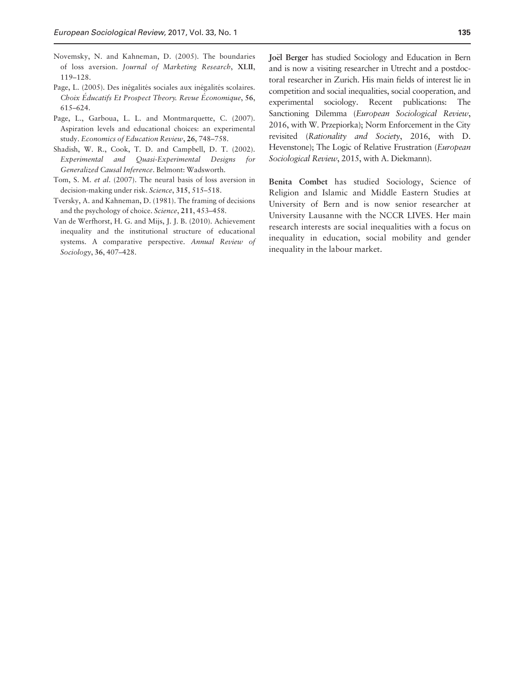- <span id="page-11-0"></span>Novemsky, N. and Kahneman, D. (2005). The boundaries of loss aversion. Journal of Marketing Research, XLII, 119–128.
- Page, L. (2005). Des inégalités sociales aux inégalités scolaires. Choix Éducatifs Et Prospect Theory. Revue Économique, 56, 615–624.
- Page, L., Garboua, L. L. and Montmarquette, C. (2007). Aspiration levels and educational choices: an experimental study. Economics of Education Review, 26, 748–758.
- Shadish, W. R., Cook, T. D. and Campbell, D. T. (2002). Experimental and Quasi-Experimental Designs for Generalized Causal Inference. Belmont: Wadsworth.
- Tom, S. M. et al. (2007). The neural basis of loss aversion in decision-making under risk. Science, 315, 515–518.
- Tversky, A. and Kahneman, D. (1981). The framing of decisions and the psychology of choice. Science, 211, 453–458.
- Van de Werfhorst, H. G. and Mijs, J. J. B. (2010). Achievement inequality and the institutional structure of educational systems. A comparative perspective. Annual Review of Sociology, 36, 407–428.

Joël Berger has studied Sociology and Education in Bern and is now a visiting researcher in Utrecht and a postdoctoral researcher in Zurich. His main fields of interest lie in competition and social inequalities, social cooperation, and experimental sociology. Recent publications: The Sanctioning Dilemma (European Sociological Review, 2016, with W. Przepiorka); Norm Enforcement in the City revisited (Rationality and Society, 2016, with D. Hevenstone); The Logic of Relative Frustration (European Sociological Review, 2015, with A. Diekmann).

Benita Combet has studied Sociology, Science of Religion and Islamic and Middle Eastern Studies at University of Bern and is now senior researcher at University Lausanne with the NCCR LIVES. Her main research interests are social inequalities with a focus on inequality in education, social mobility and gender inequality in the labour market.